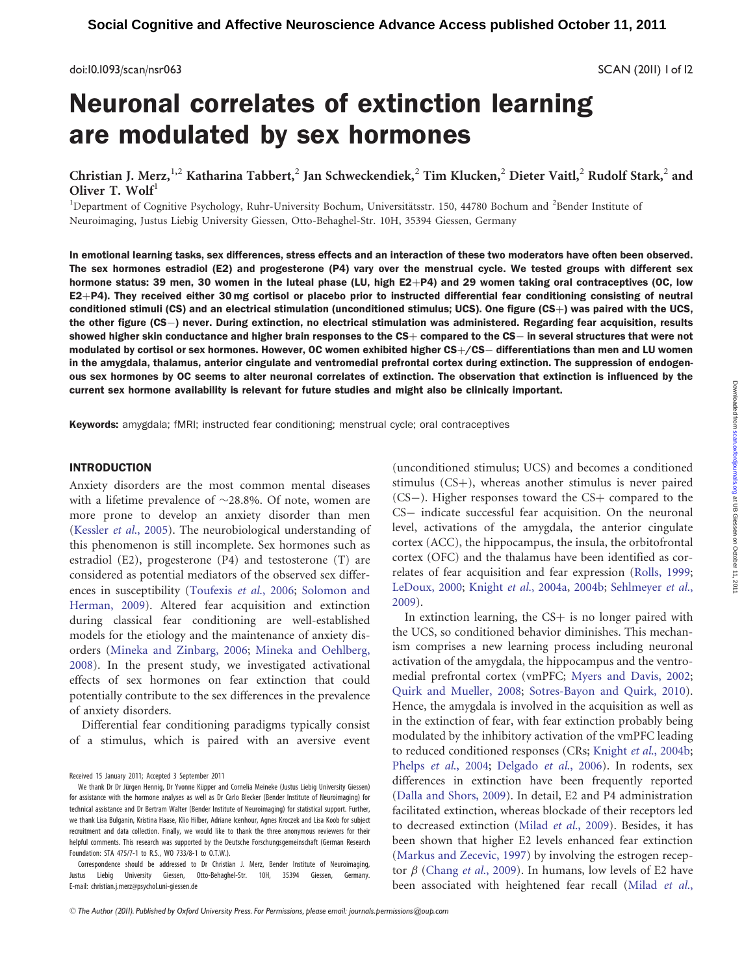doi:10.1093/scan/nsr063 SCAN (2011) 1of 12

# Neuronal correlates of extinction learning are modulated by sex hormones

Christian J. Merz, <sup>1,2</sup> Katharina Tabbert, <sup>2</sup> Jan Schweckendiek, <sup>2</sup> Tim Klucken, <sup>2</sup> Dieter Vaitl, <sup>2</sup> Rudolf Stark, <sup>2</sup> and Oliver T. Wolf<sup>1</sup>

<sup>1</sup>Department of Cognitive Psychology, Ruhr-University Bochum, Universitätsstr. 150, 44780 Bochum and <sup>2</sup>Bender Institute of Neuroimaging, Justus Liebig University Giessen, Otto-Behaghel-Str. 10H, 35394 Giessen, Germany

In emotional learning tasks, sex differences, stress effects and an interaction of these two moderators have often been observed. The sex hormones estradiol (E2) and progesterone (P4) vary over the menstrual cycle. We tested groups with different sex hormone status: 39 men, 30 women in the luteal phase (LU, high  $E2+P4$ ) and 29 women taking oral contraceptives (OC, low  $E2+P4$ ). They received either 30 mg cortisol or placebo prior to instructed differential fear conditioning consisting of neutral conditioned stimuli (CS) and an electrical stimulation (unconditioned stimulus; UCS). One figure (CS+) was paired with the UCS, the other figure (CS-) never. During extinction, no electrical stimulation was administered. Regarding fear acquisition, results showed higher skin conductance and higher brain responses to the CS $+$  compared to the CS $-$  in several structures that were not modulated by cortisol or sex hormones. However, OC women exhibited higher  $CS+/CS-$  differentiations than men and LU women in the amygdala, thalamus, anterior cingulate and ventromedial prefrontal cortex during extinction. The suppression of endogenous sex hormones by OC seems to alter neuronal correlates of extinction. The observation that extinction is influenced by the current sex hormone availability is relevant for future studies and might also be clinically important.

Keywords: amygdala; fMRI; instructed fear conditioning; menstrual cycle; oral contraceptives

## INTRODUCTION

Anxiety disorders are the most common mental diseases with a lifetime prevalence of  $\sim$ 28.8%. Of note, women are more prone to develop an anxiety disorder than men [\(Kessler](#page-9-0) et al., 2005). The neurobiological understanding of this phenomenon is still incomplete. Sex hormones such as estradiol (E2), progesterone (P4) and testosterone (T) are considered as potential mediators of the observed sex differences in susceptibility ([Toufexis](#page-10-0) et al., 2006; [Solomon and](#page-10-0) [Herman, 2009\)](#page-10-0). Altered fear acquisition and extinction during classical fear conditioning are well-established models for the etiology and the maintenance of anxiety disorders ([Mineka and Zinbarg, 2006;](#page-10-0) [Mineka and Oehlberg,](#page-10-0) [2008](#page-10-0)). In the present study, we investigated activational effects of sex hormones on fear extinction that could potentially contribute to the sex differences in the prevalence of anxiety disorders.

Differential fear conditioning paradigms typically consist of a stimulus, which is paired with an aversive event

Correspondence should be addressed to Dr Christian J. Merz, Bender Institute of Neuroimaging, Justus Liebig University Giessen, Otto-Behaghel-Str. 10H, 35394 Giessen, Germany. E-mail: christian.j.merz@psychol.uni-giessen.de

(unconditioned stimulus; UCS) and becomes a conditioned stimulus  $(CS+)$ , whereas another stimulus is never paired  $(CS-)$ . Higher responses toward the  $CS+$  compared to the CS- indicate successful fear acquisition. On the neuronal level, activations of the amygdala, the anterior cingulate cortex (ACC), the hippocampus, the insula, the orbitofrontal cortex (OFC) and the thalamus have been identified as correlates of fear acquisition and fear expression ([Rolls, 1999;](#page-10-0) [LeDoux, 2000;](#page-10-0) Knight et al[., 2004a](#page-9-0), [2004b](#page-9-0); [Sehlmeyer](#page-10-0) et al., [2009](#page-10-0)).

In extinction learning, the  $CS<sub>+</sub>$  is no longer paired with the UCS, so conditioned behavior diminishes. This mechanism comprises a new learning process including neuronal activation of the amygdala, the hippocampus and the ventromedial prefrontal cortex (vmPFC; [Myers and Davis, 2002;](#page-10-0) [Quirk and Mueller, 2008;](#page-10-0) [Sotres-Bayon and Quirk, 2010](#page-10-0)). Hence, the amygdala is involved in the acquisition as well as in the extinction of fear, with fear extinction probably being modulated by the inhibitory activation of the vmPFC leading to reduced conditioned responses (CRs; Knight et al[., 2004b;](#page-9-0) Phelps et al[., 2004;](#page-10-0) [Delgado](#page-9-0) et al., 2006). In rodents, sex differences in extinction have been frequently reported [\(Dalla and Shors, 2009\)](#page-9-0). In detail, E2 and P4 administration facilitated extinction, whereas blockade of their receptors led to decreased extinction (Milad et al[., 2009](#page-10-0)). Besides, it has been shown that higher E2 levels enhanced fear extinction [\(Markus and Zecevic, 1997](#page-10-0)) by involving the estrogen receptor  $\beta$  (Chang et al[., 2009](#page-9-0)). In humans, low levels of E2 have been associated with heightened fear recall ([Milad](#page-10-0) et al.,

Received 15 January 2011; Accepted 3 September 2011

We thank Dr Dr Jürgen Hennig, Dr Yvonne Küpper and Cornelia Meineke (Justus Liebig University Giessen) for assistance with the hormone analyses as well as Dr Carlo Blecker (Bender Institute of Neuroimaging) for technical assistance and Dr Bertram Walter (Bender Institute of Neuroimaging) for statistical support. Further, we thank Lisa Bulganin, Kristina Haase, Klio Hilber, Adriane Icenhour, Agnes Kroczek and Lisa Koob for subject recruitment and data collection. Finally, we would like to thank the three anonymous reviewers for their helpful comments. This research was supported by the Deutsche Forschungsgemeinschaft (German Research Foundation: STA 475/7-1 to R.S., WO 733/8-1 to O.T.W.).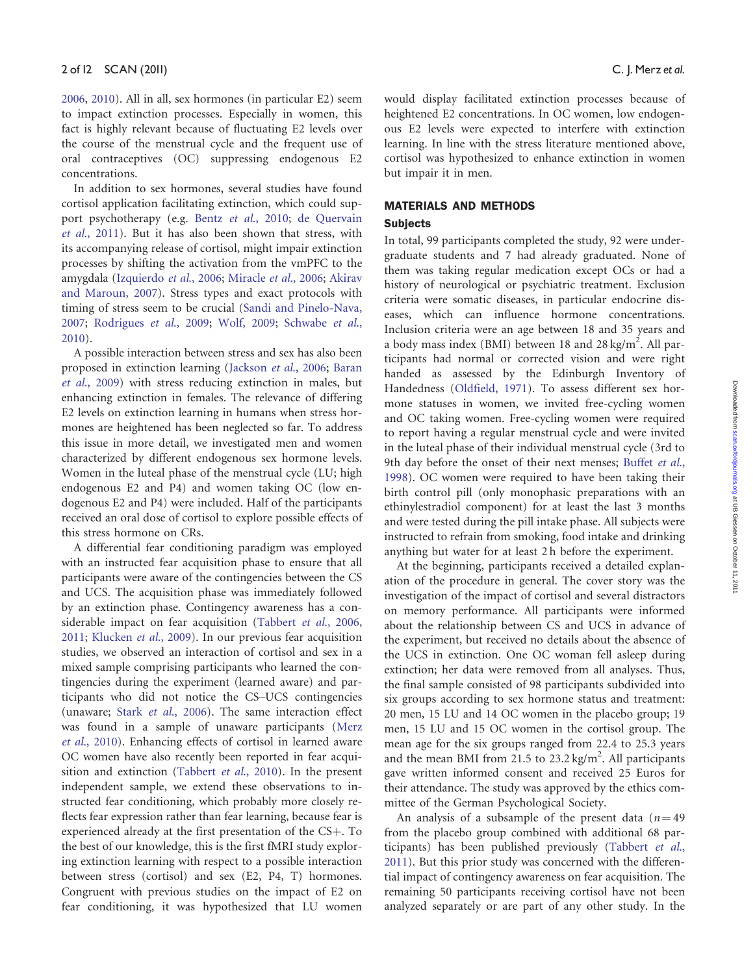[2006,](#page-10-0) [2010](#page-10-0)). All in all, sex hormones (in particular E2) seem to impact extinction processes. Especially in women, this fact is highly relevant because of fluctuating E2 levels over the course of the menstrual cycle and the frequent use of oral contraceptives (OC) suppressing endogenous E2 concentrations.

In addition to sex hormones, several studies have found cortisol application facilitating extinction, which could support psychotherapy (e.g. Bentz et al[., 2010](#page-9-0); [de Quervain](#page-9-0) et al[., 2011\)](#page-9-0). But it has also been shown that stress, with its accompanying release of cortisol, might impair extinction processes by shifting the activation from the vmPFC to the amygdala ([Izquierdo](#page-9-0) et al., 2006; [Miracle](#page-10-0) et al., 2006; [Akirav](#page-9-0) [and Maroun, 2007\)](#page-9-0). Stress types and exact protocols with timing of stress seem to be crucial [\(Sandi and Pinelo-Nava,](#page-10-0) [2007;](#page-10-0) [Rodrigues](#page-10-0) et al., 2009; [Wolf, 2009](#page-11-0); [Schwabe](#page-10-0) et al., [2010\)](#page-10-0).

A possible interaction between stress and sex has also been proposed in extinction learning ([Jackson](#page-9-0) et al., 2006; [Baran](#page-9-0) et al[., 2009\)](#page-9-0) with stress reducing extinction in males, but enhancing extinction in females. The relevance of differing E2 levels on extinction learning in humans when stress hormones are heightened has been neglected so far. To address this issue in more detail, we investigated men and women characterized by different endogenous sex hormone levels. Women in the luteal phase of the menstrual cycle (LU; high endogenous E2 and P4) and women taking OC (low endogenous E2 and P4) were included. Half of the participants received an oral dose of cortisol to explore possible effects of this stress hormone on CRs.

A differential fear conditioning paradigm was employed with an instructed fear acquisition phase to ensure that all participants were aware of the contingencies between the CS and UCS. The acquisition phase was immediately followed by an extinction phase. Contingency awareness has a con-siderable impact on fear acquisition ([Tabbert](#page-10-0) et al., 2006, [2011;](#page-10-0) [Klucken](#page-9-0) et al., 2009). In our previous fear acquisition studies, we observed an interaction of cortisol and sex in a mixed sample comprising participants who learned the contingencies during the experiment (learned aware) and participants who did not notice the CS–UCS contingencies (unaware; Stark et al[., 2006\)](#page-10-0). The same interaction effect was found in a sample of unaware participants [\(Merz](#page-10-0) et al[., 2010](#page-10-0)). Enhancing effects of cortisol in learned aware OC women have also recently been reported in fear acqui-sition and extinction ([Tabbert](#page-10-0) et al., 2010). In the present independent sample, we extend these observations to instructed fear conditioning, which probably more closely reflects fear expression rather than fear learning, because fear is experienced already at the first presentation of the CS+. To the best of our knowledge, this is the first fMRI study exploring extinction learning with respect to a possible interaction between stress (cortisol) and sex (E2, P4, T) hormones. Congruent with previous studies on the impact of E2 on fear conditioning, it was hypothesized that LU women

would display facilitated extinction processes because of heightened E2 concentrations. In OC women, low endogenous E2 levels were expected to interfere with extinction learning. In line with the stress literature mentioned above, cortisol was hypothesized to enhance extinction in women but impair it in men.

# MATERIALS AND METHODS **Subjects**

In total, 99 participants completed the study, 92 were undergraduate students and 7 had already graduated. None of them was taking regular medication except OCs or had a history of neurological or psychiatric treatment. Exclusion criteria were somatic diseases, in particular endocrine diseases, which can influence hormone concentrations. Inclusion criteria were an age between 18 and 35 years and a body mass index (BMI) between 18 and 28 kg/ $m^2$ . All participants had normal or corrected vision and were right handed as assessed by the Edinburgh Inventory of Handedness [\(Oldfield, 1971](#page-10-0)). To assess different sex hormone statuses in women, we invited free-cycling women and OC taking women. Free-cycling women were required to report having a regular menstrual cycle and were invited in the luteal phase of their individual menstrual cycle (3rd to 9th day before the onset of their next menses; [Buffet](#page-9-0) et al., [1998\)](#page-9-0). OC women were required to have been taking their birth control pill (only monophasic preparations with an ethinylestradiol component) for at least the last 3 months and were tested during the pill intake phase. All subjects were instructed to refrain from smoking, food intake and drinking anything but water for at least 2 h before the experiment.

At the beginning, participants received a detailed explanation of the procedure in general. The cover story was the investigation of the impact of cortisol and several distractors on memory performance. All participants were informed about the relationship between CS and UCS in advance of the experiment, but received no details about the absence of the UCS in extinction. One OC woman fell asleep during extinction; her data were removed from all analyses. Thus, the final sample consisted of 98 participants subdivided into six groups according to sex hormone status and treatment: 20 men, 15 LU and 14 OC women in the placebo group; 19 men, 15 LU and 15 OC women in the cortisol group. The mean age for the six groups ranged from 22.4 to 25.3 years and the mean BMI from 21.5 to  $23.2 \text{ kg/m}^2$ . All participants gave written informed consent and received 25 Euros for their attendance. The study was approved by the ethics committee of the German Psychological Society.

An analysis of a subsample of the present data  $(n=49)$ from the placebo group combined with additional 68 participants) has been published previously [\(Tabbert](#page-10-0) et al., [2011\)](#page-10-0). But this prior study was concerned with the differential impact of contingency awareness on fear acquisition. The remaining 50 participants receiving cortisol have not been analyzed separately or are part of any other study. In the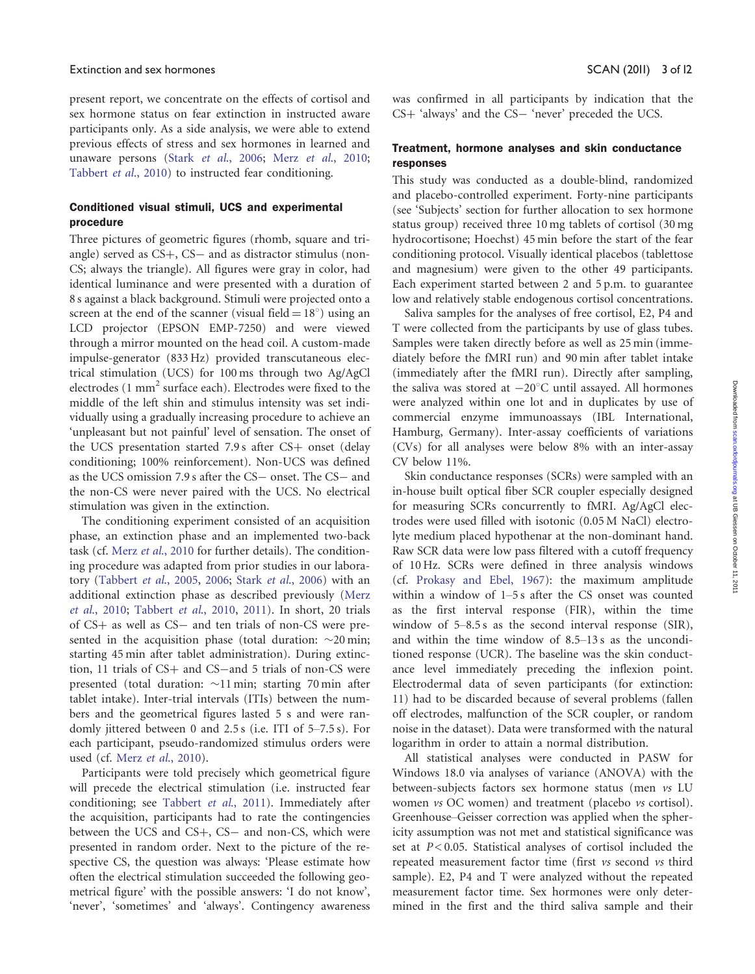### Extinction and sex hormones SCAN (2011) 3 of 12

present report, we concentrate on the effects of cortisol and sex hormone status on fear extinction in instructed aware participants only. As a side analysis, we were able to extend previous effects of stress and sex hormones in learned and unaware persons (Stark et al[., 2006](#page-10-0); Merz et al[., 2010;](#page-10-0) [Tabbert](#page-10-0) et al., 2010) to instructed fear conditioning.

# Conditioned visual stimuli, UCS and experimental procedure

Three pictures of geometric figures (rhomb, square and triangle) served as CS+, CS- and as distractor stimulus (non-CS; always the triangle). All figures were gray in color, had identical luminance and were presented with a duration of 8 s against a black background. Stimuli were projected onto a screen at the end of the scanner (visual field  $= 18^{\circ}$ ) using an LCD projector (EPSON EMP-7250) and were viewed through a mirror mounted on the head coil. A custom-made impulse-generator (833 Hz) provided transcutaneous electrical stimulation (UCS) for 100 ms through two Ag/AgCl electrodes  $(1 \text{ mm}^2 \text{ surface each})$ . Electrodes were fixed to the middle of the left shin and stimulus intensity was set individually using a gradually increasing procedure to achieve an 'unpleasant but not painful' level of sensation. The onset of the UCS presentation started  $7.9 s$  after CS+ onset (delay conditioning; 100% reinforcement). Non-UCS was defined as the UCS omission 7.9 s after the CS- onset. The CS- and the non-CS were never paired with the UCS. No electrical stimulation was given in the extinction.

The conditioning experiment consisted of an acquisition phase, an extinction phase and an implemented two-back task (cf. Merz et al[., 2010](#page-10-0) for further details). The conditioning procedure was adapted from prior studies in our laboratory [\(Tabbert](#page-10-0) et al., 2005, [2006;](#page-10-0) Stark et al[., 2006\)](#page-10-0) with an additional extinction phase as described previously ([Merz](#page-10-0) et al[., 2010;](#page-10-0) [Tabbert](#page-10-0) et al., 2010, [2011\)](#page-10-0). In short, 20 trials of CS+ as well as CS- and ten trials of non-CS were presented in the acquisition phase (total duration:  $\sim$ 20 min; starting 45 min after tablet administration). During extinction, 11 trials of CS+ and CS-and 5 trials of non-CS were presented (total duration:  $\sim$ 11 min; starting 70 min after tablet intake). Inter-trial intervals (ITIs) between the numbers and the geometrical figures lasted 5 s and were randomly jittered between 0 and 2.5 s (i.e. ITI of 5–7.5 s). For each participant, pseudo-randomized stimulus orders were used (cf. Merz et al[., 2010](#page-10-0)).

Participants were told precisely which geometrical figure will precede the electrical stimulation (i.e. instructed fear conditioning; see [Tabbert](#page-10-0) et al., 2011). Immediately after the acquisition, participants had to rate the contingencies between the UCS and CS+, CS- and non-CS, which were presented in random order. Next to the picture of the respective CS, the question was always: 'Please estimate how often the electrical stimulation succeeded the following geometrical figure' with the possible answers: 'I do not know', 'never', 'sometimes' and 'always'. Contingency awareness was confirmed in all participants by indication that the CS+ 'always' and the CS- 'never' preceded the UCS.

# Treatment, hormone analyses and skin conductance responses

This study was conducted as a double-blind, randomized and placebo-controlled experiment. Forty-nine participants (see 'Subjects' section for further allocation to sex hormone status group) received three 10 mg tablets of cortisol (30 mg hydrocortisone; Hoechst) 45 min before the start of the fear conditioning protocol. Visually identical placebos (tablettose and magnesium) were given to the other 49 participants. Each experiment started between 2 and 5 p.m. to guarantee low and relatively stable endogenous cortisol concentrations.

Saliva samples for the analyses of free cortisol, E2, P4 and T were collected from the participants by use of glass tubes. Samples were taken directly before as well as 25 min (immediately before the fMRI run) and 90 min after tablet intake (immediately after the fMRI run). Directly after sampling, the saliva was stored at  $-20^{\circ}$ C until assayed. All hormones were analyzed within one lot and in duplicates by use of commercial enzyme immunoassays (IBL International, Hamburg, Germany). Inter-assay coefficients of variations (CVs) for all analyses were below 8% with an inter-assay CV below 11%.

Skin conductance responses (SCRs) were sampled with an in-house built optical fiber SCR coupler especially designed for measuring SCRs concurrently to fMRI. Ag/AgCl electrodes were used filled with isotonic (0.05 M NaCl) electrolyte medium placed hypothenar at the non-dominant hand. Raw SCR data were low pass filtered with a cutoff frequency of 10 Hz. SCRs were defined in three analysis windows (cf. [Prokasy and Ebel, 1967](#page-10-0)): the maximum amplitude within a window of 1–5 s after the CS onset was counted as the first interval response (FIR), within the time window of 5–8.5 s as the second interval response (SIR), and within the time window of 8.5–13 s as the unconditioned response (UCR). The baseline was the skin conductance level immediately preceding the inflexion point. Electrodermal data of seven participants (for extinction: 11) had to be discarded because of several problems (fallen off electrodes, malfunction of the SCR coupler, or random noise in the dataset). Data were transformed with the natural logarithm in order to attain a normal distribution.

All statistical analyses were conducted in PASW for Windows 18.0 via analyses of variance (ANOVA) with the between-subjects factors sex hormone status (men vs LU women vs OC women) and treatment (placebo vs cortisol). Greenhouse–Geisser correction was applied when the sphericity assumption was not met and statistical significance was set at  $P < 0.05$ . Statistical analyses of cortisol included the repeated measurement factor time (first vs second vs third sample). E2, P4 and T were analyzed without the repeated measurement factor time. Sex hormones were only determined in the first and the third saliva sample and their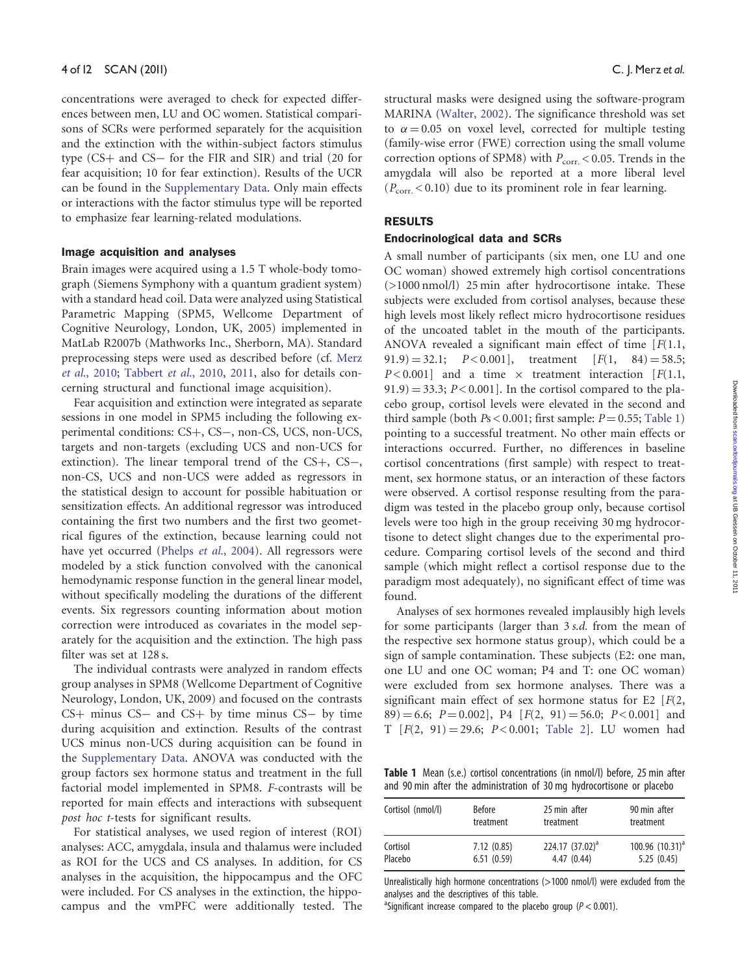concentrations were averaged to check for expected differences between men, LU and OC women. Statistical comparisons of SCRs were performed separately for the acquisition and the extinction with the within-subject factors stimulus type (CS+ and CS- for the FIR and SIR) and trial (20 for fear acquisition; 10 for fear extinction). Results of the UCR can be found in the [Supplementary Data.](http://scan.oxfordjournals.org/cgi/content/full/nsr063/DC1) Only main effects or interactions with the factor stimulus type will be reported to emphasize fear learning-related modulations.

#### Image acquisition and analyses

Brain images were acquired using a 1.5 T whole-body tomograph (Siemens Symphony with a quantum gradient system) with a standard head coil. Data were analyzed using Statistical Parametric Mapping (SPM5, Wellcome Department of Cognitive Neurology, London, UK, 2005) implemented in MatLab R2007b (Mathworks Inc., Sherborn, MA). Standard preprocessing steps were used as described before (cf. [Merz](#page-10-0) et al[., 2010;](#page-10-0) [Tabbert](#page-10-0) et al., 2010, [2011,](#page-10-0) also for details concerning structural and functional image acquisition).

Fear acquisition and extinction were integrated as separate sessions in one model in SPM5 including the following experimental conditions: CS+, CS-, non-CS, UCS, non-UCS, targets and non-targets (excluding UCS and non-UCS for extinction). The linear temporal trend of the CS+, CS-, non-CS, UCS and non-UCS were added as regressors in the statistical design to account for possible habituation or sensitization effects. An additional regressor was introduced containing the first two numbers and the first two geometrical figures of the extinction, because learning could not have yet occurred (Phelps et al[., 2004\)](#page-10-0). All regressors were modeled by a stick function convolved with the canonical hemodynamic response function in the general linear model, without specifically modeling the durations of the different events. Six regressors counting information about motion correction were introduced as covariates in the model separately for the acquisition and the extinction. The high pass filter was set at 128 s.

The individual contrasts were analyzed in random effects group analyses in SPM8 (Wellcome Department of Cognitive Neurology, London, UK, 2009) and focused on the contrasts  $CS+$  minus  $CS-$  and  $CS+$  by time minus  $CS-$  by time during acquisition and extinction. Results of the contrast UCS minus non-UCS during acquisition can be found in the [Supplementary Data](http://scan.oxfordjournals.org/cgi/content/full/nsr063/DC1). ANOVA was conducted with the group factors sex hormone status and treatment in the full factorial model implemented in SPM8. F-contrasts will be reported for main effects and interactions with subsequent post hoc t-tests for significant results.

For statistical analyses, we used region of interest (ROI) analyses: ACC, amygdala, insula and thalamus were included as ROI for the UCS and CS analyses. In addition, for CS analyses in the acquisition, the hippocampus and the OFC were included. For CS analyses in the extinction, the hippocampus and the vmPFC were additionally tested. The

structural masks were designed using the software-program MARINA [\(Walter, 2002](#page-11-0)). The significance threshold was set to  $\alpha = 0.05$  on voxel level, corrected for multiple testing (family-wise error (FWE) correction using the small volume correction options of SPM8) with  $P_{\text{corr.}}$  < 0.05. Trends in the amygdala will also be reported at a more liberal level  $(P_{\text{corr}} < 0.10)$  due to its prominent role in fear learning.

# RESULTS

#### Endocrinological data and SCRs

A small number of participants (six men, one LU and one OC woman) showed extremely high cortisol concentrations (>1000 nmol/l) 25 min after hydrocortisone intake. These subjects were excluded from cortisol analyses, because these high levels most likely reflect micro hydrocortisone residues of the uncoated tablet in the mouth of the participants. ANOVA revealed a significant main effect of time  $[F(1.1,$  $(91.9) = 32.1;$   $P < 0.001$ , treatment  $[F(1, 84) = 58.5;$  $P < 0.001$ ] and a time  $\times$  treatment interaction [F(1.1,  $(91.9) = 33.3$ ;  $P < 0.001$ ]. In the cortisol compared to the placebo group, cortisol levels were elevated in the second and third sample (both  $Ps < 0.001$ ; first sample:  $P = 0.55$ ; Table 1) pointing to a successful treatment. No other main effects or interactions occurred. Further, no differences in baseline cortisol concentrations (first sample) with respect to treatment, sex hormone status, or an interaction of these factors were observed. A cortisol response resulting from the paradigm was tested in the placebo group only, because cortisol levels were too high in the group receiving 30 mg hydrocortisone to detect slight changes due to the experimental procedure. Comparing cortisol levels of the second and third sample (which might reflect a cortisol response due to the paradigm most adequately), no significant effect of time was found.

Analyses of sex hormones revealed implausibly high levels for some participants (larger than 3 s.d. from the mean of the respective sex hormone status group), which could be a sign of sample contamination. These subjects (E2: one man, one LU and one OC woman; P4 and T: one OC woman) were excluded from sex hormone analyses. There was a significant main effect of sex hormone status for E2  $[F(2, 1)]$ 89) = 6.6; P = 0.002], P4  $[F(2, 91) = 56.0; P < 0.001]$  and  $T$   $[F(2, 91) = 29.6; P < 0.001;$  [Table 2](#page-4-0)]. LU women had

Table 1 Mean (s.e.) cortisol concentrations (in nmol/l) before, 25 min after and 90 min after the administration of 30 mg hydrocortisone or placebo

| Cortisol (nmol/l) | <b>Before</b> | 25 min after       | 90 min after         |
|-------------------|---------------|--------------------|----------------------|
|                   | treatment     | treatment          | treatment            |
| Cortisol          | 7.12(0.85)    | 224.17 $(37.02)^a$ | 100.96 $(10.31)^{a}$ |
| Placebo           | 6.51(0.59)    | 4.47(0.44)         | 5.25(0.45)           |

Unrealistically high hormone concentrations (>1000 nmol/l) were excluded from the analyses and the descriptives of this table.

<sup>a</sup>Significant increase compared to the placebo group ( $P < 0.001$ ).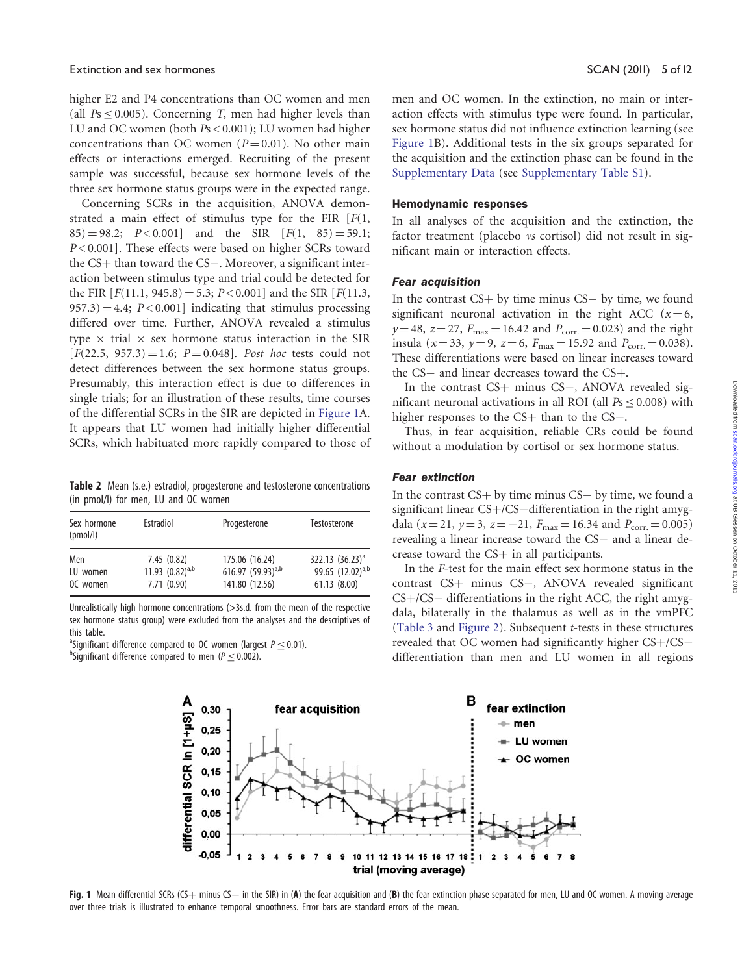<span id="page-4-0"></span>higher E2 and P4 concentrations than OC women and men (all  $Ps \leq 0.005$ ). Concerning T, men had higher levels than LU and OC women (both Ps < 0.001); LU women had higher concentrations than OC women ( $P = 0.01$ ). No other main effects or interactions emerged. Recruiting of the present sample was successful, because sex hormone levels of the three sex hormone status groups were in the expected range.

Concerning SCRs in the acquisition, ANOVA demonstrated a main effect of stimulus type for the FIR  $[F(1,$  $(85) = 98.2;$   $P < 0.001$  and the SIR  $[F(1, 85) = 59.1;$ P < 0.001]. These effects were based on higher SCRs toward the CS+ than toward the CS-. Moreover, a significant interaction between stimulus type and trial could be detected for the FIR  $[F(11.1, 945.8) = 5.3; P < 0.001]$  and the SIR  $[F(11.3, 945.8) = 5.3; P < 0.001]$  $(957.3) = 4.4$ ;  $P < 0.001$ ] indicating that stimulus processing differed over time. Further, ANOVA revealed a stimulus type  $\times$  trial  $\times$  sex hormone status interaction in the SIR  $[F(22.5, 957.3) = 1.6; P = 0.048]$ . Post hoc tests could not detect differences between the sex hormone status groups. Presumably, this interaction effect is due to differences in single trials; for an illustration of these results, time courses of the differential SCRs in the SIR are depicted in Figure 1A. It appears that LU women had initially higher differential SCRs, which habituated more rapidly compared to those of

Table 2 Mean (s.e.) estradiol, progesterone and testosterone concentrations (in pmol/l) for men, LU and OC women

| Sex hormone<br>(pmol/l) | Estradiol            | Progesterone           | Testosterone                 |
|-------------------------|----------------------|------------------------|------------------------------|
| Men                     | 7.45(0.82)           | 175.06 (16.24)         | 322.13 $(36.23)^a$           |
| LU women                | 11.93 $(0.82)^{a,b}$ | 616.97 $(59.93)^{a,b}$ | 99.65 (12.02) <sup>a,b</sup> |
| OC women                | 7.71(0.90)           | 141.80 (12.56)         | 61.13 (8.00)                 |

Unrealistically high hormone concentrations (>3s.d. from the mean of the respective sex hormone status group) were excluded from the analyses and the descriptives of this table.

<sup>a</sup> Significant difference compared to OC women (largest  $P \leq 0.01$ ).

 $b$ Significant difference compared to men ( $P < 0.002$ ).

men and OC women. In the extinction, no main or interaction effects with stimulus type were found. In particular, sex hormone status did not influence extinction learning (see Figure 1B). Additional tests in the six groups separated for the acquisition and the extinction phase can be found in the [Supplementary Data](http://scan.oxfordjournals.org/cgi/content/full/nsr063/DC1) (see [Supplementary Table S1\)](http://scan.oxfordjournals.org/cgi/content/full/nsr063/DC1).

#### Hemodynamic responses

In all analyses of the acquisition and the extinction, the factor treatment (placebo vs cortisol) did not result in significant main or interaction effects.

## Fear acquisition

In the contrast  $CS+$  by time minus  $CS-$  by time, we found significant neuronal activation in the right ACC ( $x=6$ ,  $y=48$ ,  $z=27$ ,  $F_{\text{max}}=16.42$  and  $P_{\text{corr}}=0.023$ ) and the right insula ( $x = 33$ ,  $y = 9$ ,  $z = 6$ ,  $F_{\text{max}} = 15.92$  and  $P_{\text{corr}} = 0.038$ ). These differentiations were based on linear increases toward the CS- and linear decreases toward the CS+.

In the contrast CS+ minus CS-, ANOVA revealed significant neuronal activations in all ROI (all  $Ps \leq 0.008$ ) with higher responses to the CS+ than to the CS-.

Thus, in fear acquisition, reliable CRs could be found without a modulation by cortisol or sex hormone status.

## Fear extinction

In the contrast  $CS + by$  time minus  $CS - by$  time, we found a significant linear CS+/CS-differentiation in the right amygdala ( $x=21$ ,  $y=3$ ,  $z=-21$ ,  $F_{\text{max}}=16.34$  and  $P_{\text{corr}}=0.005$ ) revealing a linear increase toward the CS- and a linear decrease toward the  $CS$ + in all participants.

In the F-test for the main effect sex hormone status in the contrast CS+ minus CS-, ANOVA revealed significant CS+/CS- differentiations in the right ACC, the right amygdala, bilaterally in the thalamus as well as in the vmPFC [\(Table 3](#page-5-0) and [Figure 2\)](#page-6-0). Subsequent t-tests in these structures revealed that OC women had significantly higher CS+/CSdifferentiation than men and LU women in all regions



Fig. 1 Mean differential SCRs (CS+ minus CS- in the SIR) in (A) the fear acquisition and (B) the fear extinction phase separated for men, LU and OC women. A moving average over three trials is illustrated to enhance temporal smoothness. Error bars are standard errors of the mean.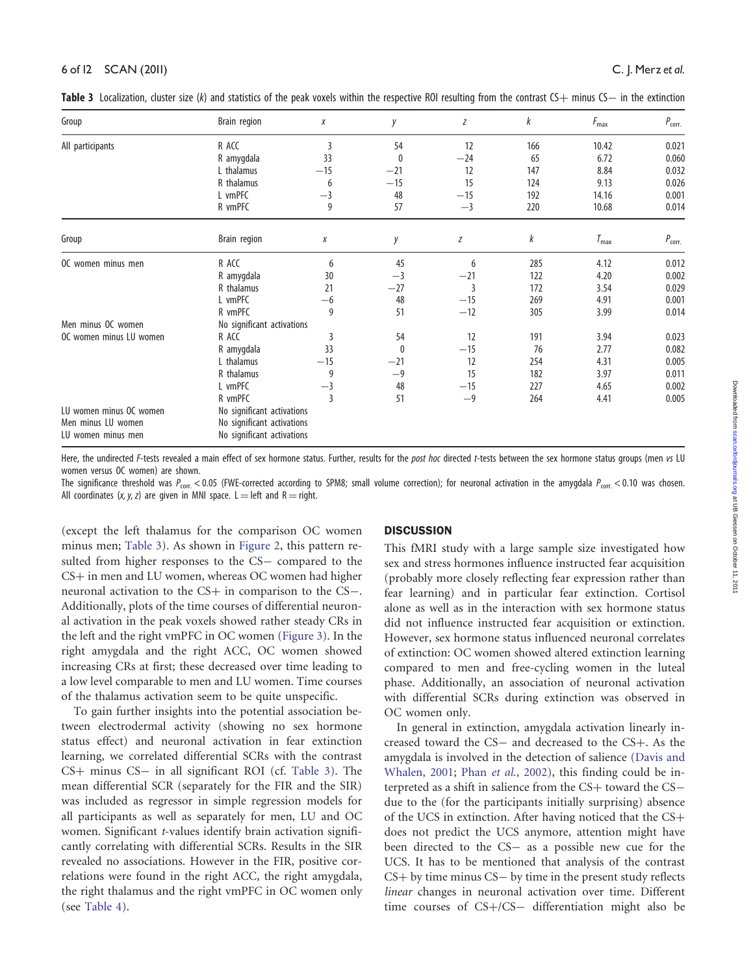| Group                   | Brain region               | Χ              | y     | Z     | k   | $F_{\text{max}}$ | $P_{corr.}$ |  |
|-------------------------|----------------------------|----------------|-------|-------|-----|------------------|-------------|--|
| All participants        | R ACC                      | 3              | 54    | 12    | 166 | 10.42            | 0.021       |  |
|                         | R amygdala                 | 33             | 0     | $-24$ | 65  | 6.72             | 0.060       |  |
|                         | L thalamus                 | $-15$          | $-21$ | 12    | 147 | 8.84             | 0.032       |  |
|                         | R thalamus                 | 6              | $-15$ | 15    | 124 | 9.13             | 0.026       |  |
|                         | L vmPFC                    | $-3$           | 48    | $-15$ | 192 | 14.16            | 0.001       |  |
|                         | R vmPFC                    | 9              | 57    | $-3$  | 220 | 10.68            | 0.014       |  |
| Group                   | Brain region               | Χ              | у     | Z     | k   | $T_{\rm max}$    | $P_{corr.}$ |  |
| OC women minus men      | R ACC                      | 6              | 45    | 6     | 285 | 4.12             | 0.012       |  |
|                         | R amygdala                 | 30             | $-3$  | $-21$ | 122 | 4.20             | 0.002       |  |
|                         | R thalamus                 | 21             | $-27$ | 3     | 172 | 3.54             | 0.029       |  |
|                         | L vmPFC                    | $-6$           | 48    | $-15$ | 269 | 4.91             | 0.001       |  |
|                         | R vmPFC                    | 9              | 51    | $-12$ | 305 | 3.99             | 0.014       |  |
| Men minus OC women      | No significant activations |                |       |       |     |                  |             |  |
| OC women minus LU women | R ACC                      | 3              | 54    | 12    | 191 | 3.94             | 0.023       |  |
|                         | R amygdala                 | 33             | 0     | $-15$ | 76  | 2.77             | 0.082       |  |
|                         | L thalamus                 | $-15$          | $-21$ | 12    | 254 | 4.31             | 0.005       |  |
|                         | R thalamus                 | 9              | $-9$  | 15    | 182 | 3.97             | 0.011       |  |
|                         | L vmPFC                    | $-3$           | 48    | $-15$ | 227 | 4.65             | 0.002       |  |
|                         | R vmPFC                    | $\overline{3}$ | 51    | $-9$  | 264 | 4.41             | 0.005       |  |
| LU women minus OC women | No significant activations |                |       |       |     |                  |             |  |
| Men minus LU women      | No significant activations |                |       |       |     |                  |             |  |
| LU women minus men      | No significant activations |                |       |       |     |                  |             |  |

<span id="page-5-0"></span>Table 3 Localization, cluster size (k) and statistics of the peak voxels within the respective ROI resulting from the contrast CS+ minus CS- in the extinction

Here, the undirected F-tests revealed a main effect of sex hormone status. Further, results for the post hoc directed t-tests between the sex hormone status groups (men vs LU women versus OC women) are shown.

The significance threshold was  $P_{\text{corr}}$  < 0.05 (FWE-corrected according to SPM8; small volume correction); for neuronal activation in the amygdala  $P_{\text{corr}}$  < 0.10 was chosen. All coordinates  $(x, y, z)$  are given in MNI space. L = left and R = right.

(except the left thalamus for the comparison OC women minus men; Table 3). As shown in [Figure 2](#page-6-0), this pattern resulted from higher responses to the CS- compared to the CS+ in men and LU women, whereas OC women had higher neuronal activation to the CS+ in comparison to the CS-. Additionally, plots of the time courses of differential neuronal activation in the peak voxels showed rather steady CRs in the left and the right vmPFC in OC women [\(Figure 3\)](#page-7-0). In the right amygdala and the right ACC, OC women showed increasing CRs at first; these decreased over time leading to a low level comparable to men and LU women. Time courses of the thalamus activation seem to be quite unspecific.

To gain further insights into the potential association between electrodermal activity (showing no sex hormone status effect) and neuronal activation in fear extinction learning, we correlated differential SCRs with the contrast CS+ minus CS- in all significant ROI (cf. Table 3). The mean differential SCR (separately for the FIR and the SIR) was included as regressor in simple regression models for all participants as well as separately for men, LU and OC women. Significant t-values identify brain activation significantly correlating with differential SCRs. Results in the SIR revealed no associations. However in the FIR, positive correlations were found in the right ACC, the right amygdala, the right thalamus and the right vmPFC in OC women only (see Table 4).

## **DISCUSSION**

This fMRI study with a large sample size investigated how sex and stress hormones influence instructed fear acquisition (probably more closely reflecting fear expression rather than fear learning) and in particular fear extinction. Cortisol alone as well as in the interaction with sex hormone status did not influence instructed fear acquisition or extinction. However, sex hormone status influenced neuronal correlates of extinction: OC women showed altered extinction learning compared to men and free-cycling women in the luteal phase. Additionally, an association of neuronal activation with differential SCRs during extinction was observed in OC women only.

In general in extinction, amygdala activation linearly increased toward the CS- and decreased to the CS+. As the amygdala is involved in the detection of salience [\(Davis and](#page-9-0) [Whalen, 2001](#page-9-0); Phan et al[., 2002](#page-10-0)), this finding could be interpreted as a shift in salience from the CS+ toward the CSdue to the (for the participants initially surprising) absence of the UCS in extinction. After having noticed that the  $CS+$ does not predict the UCS anymore, attention might have been directed to the CS- as a possible new cue for the UCS. It has to be mentioned that analysis of the contrast  $CS+$  by time minus  $CS-$  by time in the present study reflects linear changes in neuronal activation over time. Different time courses of CS+/CS- differentiation might also be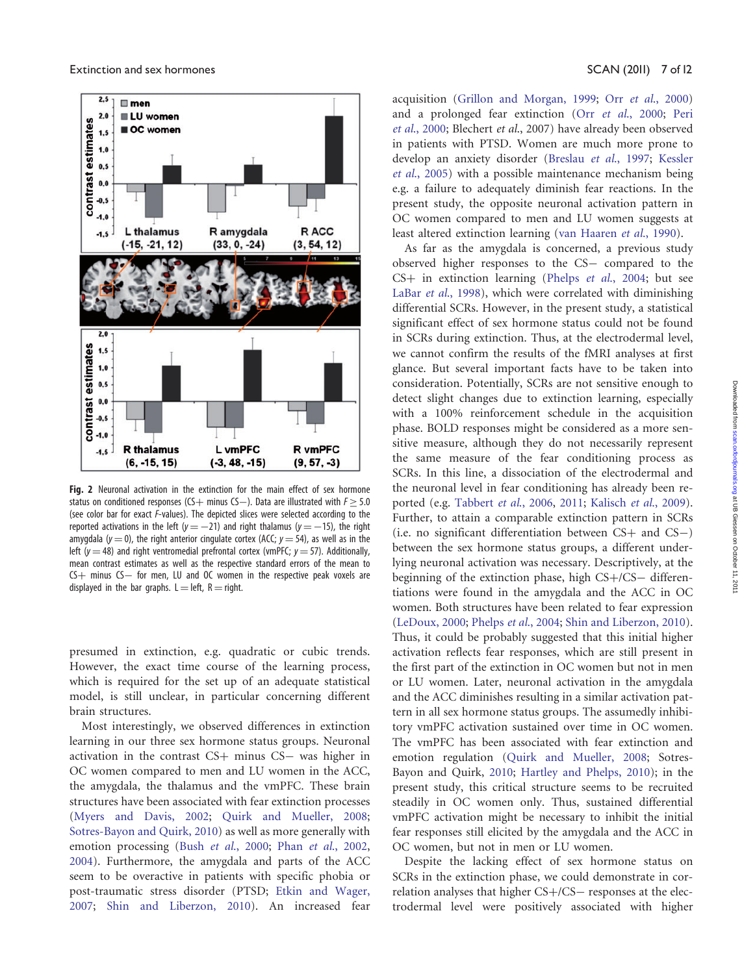<span id="page-6-0"></span>

Fig. 2 Neuronal activation in the extinction for the main effect of sex hormone status on conditioned responses (CS + minus CS - ). Data are illustrated with  $F \geq 5.0$ (see color bar for exact F-values). The depicted slices were selected according to the reported activations in the left ( $y = -21$ ) and right thalamus ( $y = -15$ ), the right amygdala ( $y = 0$ ), the right anterior cingulate cortex (ACC;  $y = 54$ ), as well as in the left ( $y = 48$ ) and right ventromedial prefrontal cortex (vmPFC;  $y = 57$ ). Additionally, mean contrast estimates as well as the respective standard errors of the mean to  $CS+$  minus  $CS-$  for men, LU and OC women in the respective peak voxels are displayed in the bar graphs.  $L = left$ , R = right.

presumed in extinction, e.g. quadratic or cubic trends. However, the exact time course of the learning process, which is required for the set up of an adequate statistical model, is still unclear, in particular concerning different brain structures.

Most interestingly, we observed differences in extinction learning in our three sex hormone status groups. Neuronal activation in the contrast CS+ minus CS- was higher in OC women compared to men and LU women in the ACC, the amygdala, the thalamus and the vmPFC. These brain structures have been associated with fear extinction processes [\(Myers and Davis, 2002](#page-10-0); [Quirk and Mueller, 2008;](#page-10-0) [Sotres-Bayon and Quirk, 2010\)](#page-10-0) as well as more generally with emotion processing (Bush et al[., 2000;](#page-9-0) Phan et al[., 2002,](#page-10-0) [2004](#page-10-0)). Furthermore, the amygdala and parts of the ACC seem to be overactive in patients with specific phobia or post-traumatic stress disorder (PTSD; [Etkin and Wager,](#page-9-0) [2007](#page-9-0); [Shin and Liberzon, 2010](#page-10-0)). An increased fear

acquisition [\(Grillon and Morgan, 1999;](#page-9-0) Orr et al[., 2000\)](#page-10-0) and a prolonged fear extinction (Orr et al[., 2000](#page-10-0); [Peri](#page-10-0) et al[., 2000;](#page-10-0) Blechert et al., 2007) have already been observed in patients with PTSD. Women are much more prone to develop an anxiety disorder ([Breslau](#page-9-0) et al., 1997; [Kessler](#page-9-0) et al[., 2005\)](#page-9-0) with a possible maintenance mechanism being e.g. a failure to adequately diminish fear reactions. In the present study, the opposite neuronal activation pattern in OC women compared to men and LU women suggests at least altered extinction learning [\(van Haaren](#page-10-0) et al., 1990).

As far as the amygdala is concerned, a previous study observed higher responses to the CS- compared to the  $CS$ + in extinction learning (Phelps *et al.*, 2004; but see LaBar et al[., 1998\)](#page-10-0), which were correlated with diminishing differential SCRs. However, in the present study, a statistical significant effect of sex hormone status could not be found in SCRs during extinction. Thus, at the electrodermal level, we cannot confirm the results of the fMRI analyses at first glance. But several important facts have to be taken into consideration. Potentially, SCRs are not sensitive enough to detect slight changes due to extinction learning, especially with a 100% reinforcement schedule in the acquisition phase. BOLD responses might be considered as a more sensitive measure, although they do not necessarily represent the same measure of the fear conditioning process as SCRs. In this line, a dissociation of the electrodermal and the neuronal level in fear conditioning has already been reported (e.g. [Tabbert](#page-10-0) et al., 2006, [2011](#page-10-0); [Kalisch](#page-9-0) et al., 2009). Further, to attain a comparable extinction pattern in SCRs  $(i.e. no significant differentiation between CS+ and CS-)$ between the sex hormone status groups, a different underlying neuronal activation was necessary. Descriptively, at the beginning of the extinction phase, high CS+/CS- differentiations were found in the amygdala and the ACC in OC women. Both structures have been related to fear expression [\(LeDoux, 2000;](#page-10-0) Phelps et al[., 2004](#page-10-0); [Shin and Liberzon, 2010](#page-10-0)). Thus, it could be probably suggested that this initial higher activation reflects fear responses, which are still present in the first part of the extinction in OC women but not in men or LU women. Later, neuronal activation in the amygdala and the ACC diminishes resulting in a similar activation pattern in all sex hormone status groups. The assumedly inhibitory vmPFC activation sustained over time in OC women. The vmPFC has been associated with fear extinction and emotion regulation [\(Quirk and Mueller, 2008;](#page-10-0) Sotres-Bayon and Quirk, [2010](#page-10-0); [Hartley and Phelps, 2010\)](#page-9-0); in the present study, this critical structure seems to be recruited steadily in OC women only. Thus, sustained differential vmPFC activation might be necessary to inhibit the initial fear responses still elicited by the amygdala and the ACC in OC women, but not in men or LU women.

Despite the lacking effect of sex hormone status on SCRs in the extinction phase, we could demonstrate in correlation analyses that higher CS+/CS- responses at the electrodermal level were positively associated with higher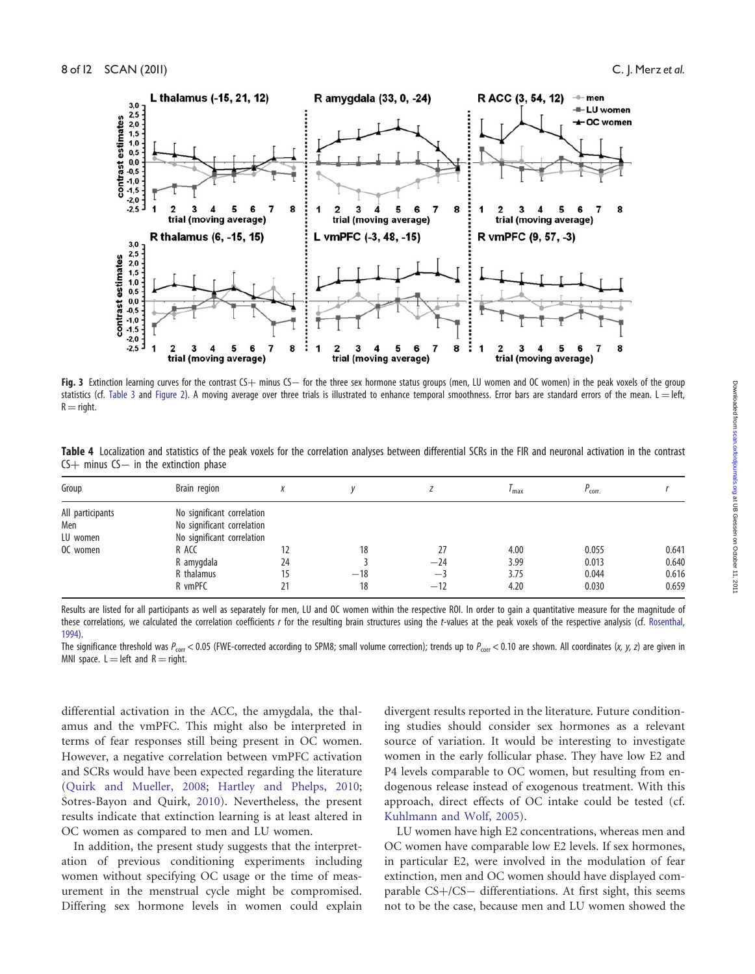<span id="page-7-0"></span>

Fig. 3 Extinction learning curves for the contrast CS+ minus CS- for the three sex hormone status groups (men, LU women and OC women) in the peak voxels of the group statistics (cf. [Table 3](#page-5-0) and [Figure 2](#page-6-0)). A moving average over three trials is illustrated to enhance temporal smoothness. Error bars are standard errors of the mean. L = left,  $R =$  right.

| Table 4 Localization and statistics of the peak voxels for the correlation analyses between differential SCRs in the FIR and neuronal activation in the contrast |  |  |  |
|------------------------------------------------------------------------------------------------------------------------------------------------------------------|--|--|--|
| $CS+$ minus $CS-$ in the extinction phase                                                                                                                        |  |  |  |

| Group                                           | Brain region                                                                                                                           | X              |                   |                              | $\frac{I}{I}$ max            | $P_{corr.}$                      |                                  |
|-------------------------------------------------|----------------------------------------------------------------------------------------------------------------------------------------|----------------|-------------------|------------------------------|------------------------------|----------------------------------|----------------------------------|
| All participants<br>Men<br>LU women<br>OC women | No significant correlation<br>No significant correlation<br>No significant correlation<br>R ACC<br>R amygdala<br>R thalamus<br>R vmPFC | 12<br>24<br>21 | 18<br>$-18$<br>18 | 27<br>$-24$<br>$-3$<br>$-12$ | 4.00<br>3.99<br>3.75<br>4.20 | 0.055<br>0.013<br>0.044<br>0.030 | 0.641<br>0.640<br>0.616<br>0.659 |

Results are listed for all participants as well as separately for men, LU and OC women within the respective ROI. In order to gain a quantitative measure for the magnitude of these correlations, we calculated the correlation coefficients r for the resulting brain structures using the t-values at the peak voxels of the respective analysis (cf. [Rosenthal,](#page-10-0) [1994\)](#page-10-0).

The significance threshold was  $P_{\text{corr}}$  < 0.05 (FWE-corrected according to SPM8; small volume correction); trends up to  $P_{\text{corr}}$  < 0.10 are shown. All coordinates (x, y, z) are given in MNI space.  $L = left$  and  $R = right$ .

differential activation in the ACC, the amygdala, the thalamus and the vmPFC. This might also be interpreted in terms of fear responses still being present in OC women. However, a negative correlation between vmPFC activation and SCRs would have been expected regarding the literature ([Quirk and Mueller, 2008](#page-10-0); [Hartley and Phelps, 2010;](#page-9-0) Sotres-Bayon and Quirk, [2010\)](#page-10-0). Nevertheless, the present results indicate that extinction learning is at least altered in OC women as compared to men and LU women.

In addition, the present study suggests that the interpretation of previous conditioning experiments including women without specifying OC usage or the time of measurement in the menstrual cycle might be compromised. Differing sex hormone levels in women could explain divergent results reported in the literature. Future conditioning studies should consider sex hormones as a relevant source of variation. It would be interesting to investigate women in the early follicular phase. They have low E2 and P4 levels comparable to OC women, but resulting from endogenous release instead of exogenous treatment. With this approach, direct effects of OC intake could be tested (cf. [Kuhlmann and Wolf, 2005](#page-10-0)).

LU women have high E2 concentrations, whereas men and OC women have comparable low E2 levels. If sex hormones, in particular E2, were involved in the modulation of fear extinction, men and OC women should have displayed comparable CS+/CS- differentiations. At first sight, this seems not to be the case, because men and LU women showed the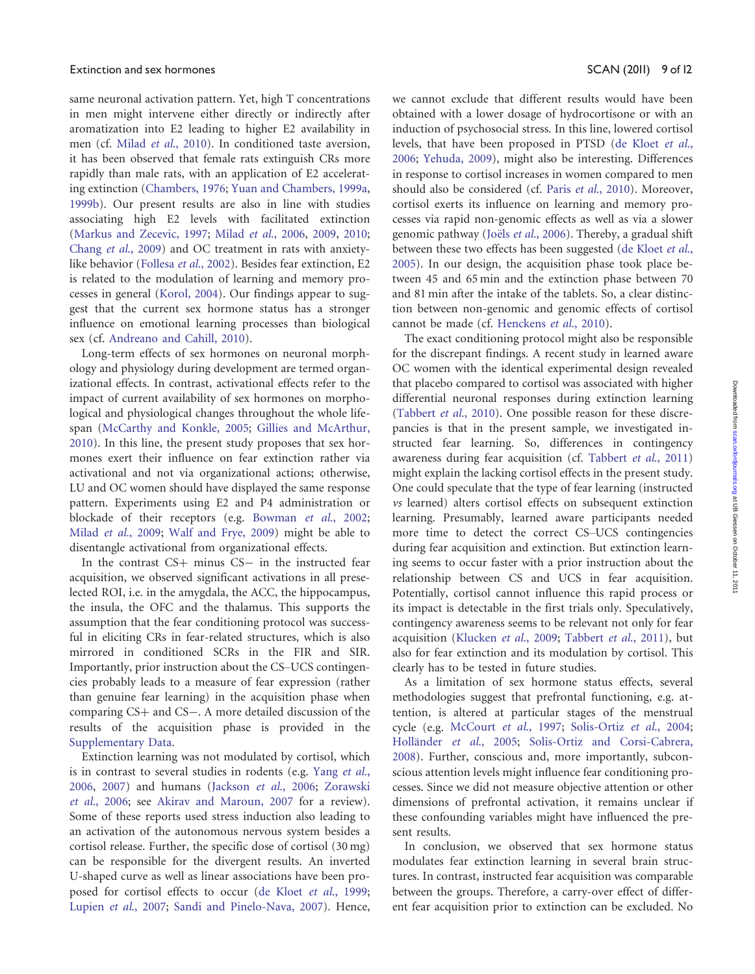same neuronal activation pattern. Yet, high T concentrations in men might intervene either directly or indirectly after aromatization into E2 leading to higher E2 availability in men (cf. Milad et al[., 2010\)](#page-10-0). In conditioned taste aversion, it has been observed that female rats extinguish CRs more rapidly than male rats, with an application of E2 accelerating extinction [\(Chambers, 1976;](#page-9-0) [Yuan and Chambers, 1999a,](#page-11-0) [1999b](#page-11-0)). Our present results are also in line with studies associating high E2 levels with facilitated extinction [\(Markus and Zecevic, 1997](#page-10-0); Milad et al[., 2006,](#page-10-0) [2009,](#page-10-0) [2010;](#page-10-0) Chang et al[., 2009\)](#page-9-0) and OC treatment in rats with anxietylike behavior [\(Follesa](#page-9-0) et al., 2002). Besides fear extinction, E2 is related to the modulation of learning and memory processes in general [\(Korol, 2004](#page-10-0)). Our findings appear to suggest that the current sex hormone status has a stronger influence on emotional learning processes than biological sex (cf. [Andreano and Cahill, 2010\)](#page-9-0).

Long-term effects of sex hormones on neuronal morphology and physiology during development are termed organizational effects. In contrast, activational effects refer to the impact of current availability of sex hormones on morphological and physiological changes throughout the whole lifespan [\(McCarthy and Konkle, 2005;](#page-10-0) [Gillies and McArthur,](#page-9-0) [2010](#page-9-0)). In this line, the present study proposes that sex hormones exert their influence on fear extinction rather via activational and not via organizational actions; otherwise, LU and OC women should have displayed the same response pattern. Experiments using E2 and P4 administration or blockade of their receptors (e.g. [Bowman](#page-9-0) et al., 2002; Milad et al[., 2009;](#page-10-0) [Walf and Frye, 2009\)](#page-11-0) might be able to disentangle activational from organizational effects.

In the contrast CS+ minus CS- in the instructed fear acquisition, we observed significant activations in all preselected ROI, i.e. in the amygdala, the ACC, the hippocampus, the insula, the OFC and the thalamus. This supports the assumption that the fear conditioning protocol was successful in eliciting CRs in fear-related structures, which is also mirrored in conditioned SCRs in the FIR and SIR. Importantly, prior instruction about the CS–UCS contingencies probably leads to a measure of fear expression (rather than genuine fear learning) in the acquisition phase when comparing CS+ and CS-. A more detailed discussion of the results of the acquisition phase is provided in the [Supplementary Data](http://scan.oxfordjournals.org/cgi/content/full/nsr063/DC1).

Extinction learning was not modulated by cortisol, which is in contrast to several studies in rodents (e.g. [Yang](#page-11-0) et al., [2006](#page-11-0), [2007\)](#page-11-0) and humans ([Jackson](#page-9-0) et al., 2006; [Zorawski](#page-11-0) et al[., 2006;](#page-11-0) see [Akirav and Maroun, 2007](#page-9-0) for a review). Some of these reports used stress induction also leading to an activation of the autonomous nervous system besides a cortisol release. Further, the specific dose of cortisol (30 mg) can be responsible for the divergent results. An inverted U-shaped curve as well as linear associations have been proposed for cortisol effects to occur ([de Kloet](#page-9-0) et al., 1999; Lupien et al[., 2007;](#page-10-0) [Sandi and Pinelo-Nava, 2007](#page-10-0)). Hence, we cannot exclude that different results would have been obtained with a lower dosage of hydrocortisone or with an induction of psychosocial stress. In this line, lowered cortisol levels, that have been proposed in PTSD [\(de Kloet](#page-9-0) et al., [2006](#page-9-0); [Yehuda, 2009](#page-11-0)), might also be interesting. Differences in response to cortisol increases in women compared to men should also be considered (cf. Paris et al[., 2010](#page-10-0)). Moreover, cortisol exerts its influence on learning and memory processes via rapid non-genomic effects as well as via a slower genomic pathway (Joëls et al[., 2006](#page-9-0)). Thereby, a gradual shift between these two effects has been suggested [\(de Kloet](#page-9-0) et al., [2005](#page-9-0)). In our design, the acquisition phase took place between 45 and 65 min and the extinction phase between 70 and 81 min after the intake of the tablets. So, a clear distinction between non-genomic and genomic effects of cortisol cannot be made (cf. [Henckens](#page-9-0) et al., 2010).

The exact conditioning protocol might also be responsible for the discrepant findings. A recent study in learned aware OC women with the identical experimental design revealed that placebo compared to cortisol was associated with higher differential neuronal responses during extinction learning [\(Tabbert](#page-10-0) et al., 2010). One possible reason for these discrepancies is that in the present sample, we investigated instructed fear learning. So, differences in contingency awareness during fear acquisition (cf. [Tabbert](#page-10-0) et al., 2011) might explain the lacking cortisol effects in the present study. One could speculate that the type of fear learning (instructed vs learned) alters cortisol effects on subsequent extinction learning. Presumably, learned aware participants needed more time to detect the correct CS–UCS contingencies during fear acquisition and extinction. But extinction learning seems to occur faster with a prior instruction about the relationship between CS and UCS in fear acquisition. Potentially, cortisol cannot influence this rapid process or its impact is detectable in the first trials only. Speculatively, contingency awareness seems to be relevant not only for fear acquisition [\(Klucken](#page-9-0) et al., 2009; [Tabbert](#page-10-0) et al., 2011), but also for fear extinction and its modulation by cortisol. This clearly has to be tested in future studies.

As a limitation of sex hormone status effects, several methodologies suggest that prefrontal functioning, e.g. attention, is altered at particular stages of the menstrual cycle (e.g. [McCourt](#page-10-0) et al., 1997; [Solis-Ortiz](#page-10-0) et al., 2004; Holländer et al., 2005; [Solis-Ortiz and Corsi-Cabrera,](#page-10-0) [2008](#page-10-0)). Further, conscious and, more importantly, subconscious attention levels might influence fear conditioning processes. Since we did not measure objective attention or other dimensions of prefrontal activation, it remains unclear if these confounding variables might have influenced the present results.

In conclusion, we observed that sex hormone status modulates fear extinction learning in several brain structures. In contrast, instructed fear acquisition was comparable between the groups. Therefore, a carry-over effect of different fear acquisition prior to extinction can be excluded. No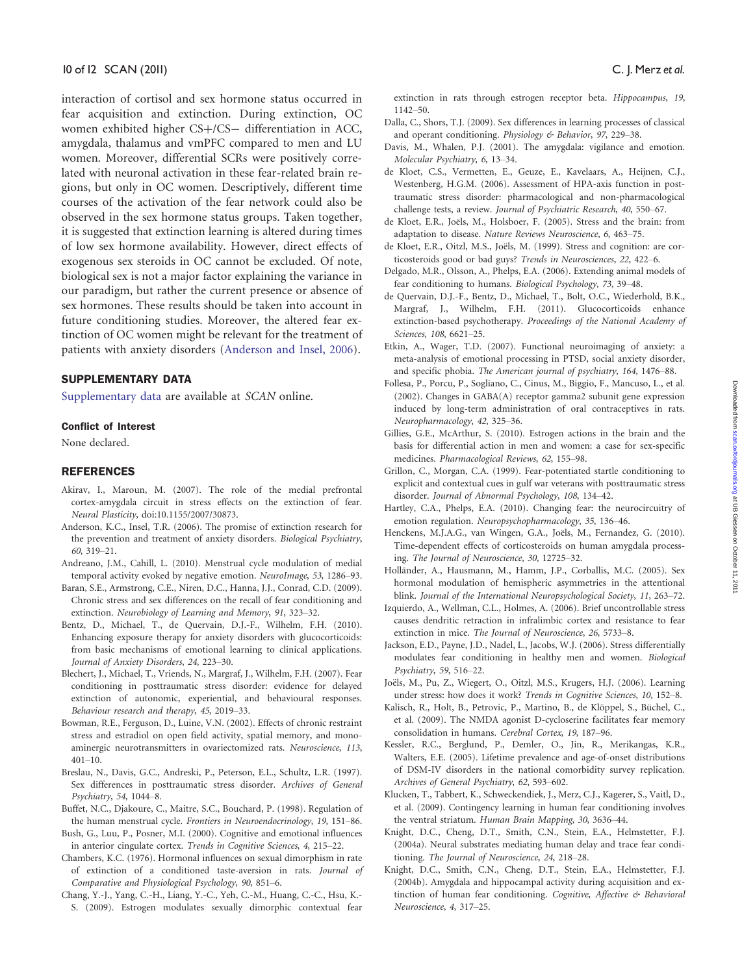<span id="page-9-0"></span>interaction of cortisol and sex hormone status occurred in fear acquisition and extinction. During extinction, OC women exhibited higher CS+/CS- differentiation in ACC, amygdala, thalamus and vmPFC compared to men and LU women. Moreover, differential SCRs were positively correlated with neuronal activation in these fear-related brain regions, but only in OC women. Descriptively, different time courses of the activation of the fear network could also be observed in the sex hormone status groups. Taken together, it is suggested that extinction learning is altered during times of low sex hormone availability. However, direct effects of exogenous sex steroids in OC cannot be excluded. Of note, biological sex is not a major factor explaining the variance in our paradigm, but rather the current presence or absence of sex hormones. These results should be taken into account in future conditioning studies. Moreover, the altered fear extinction of OC women might be relevant for the treatment of patients with anxiety disorders (Anderson and Insel, 2006).

# SUPPLEMENTARY DATA

[Supplementary data](http://scan.oxfordjournals.org/cgi/content/full/nsr063/DC1) are available at SCAN online.

### Conflict of Interest

None declared.

## REFERENCES

- Akirav, I., Maroun, M. (2007). The role of the medial prefrontal cortex-amygdala circuit in stress effects on the extinction of fear. Neural Plasticity, doi:10.1155/2007/30873.
- Anderson, K.C., Insel, T.R. (2006). The promise of extinction research for the prevention and treatment of anxiety disorders. Biological Psychiatry, 60, 319–21.
- Andreano, J.M., Cahill, L. (2010). Menstrual cycle modulation of medial temporal activity evoked by negative emotion. NeuroImage, 53, 1286–93.
- Baran, S.E., Armstrong, C.E., Niren, D.C., Hanna, J.J., Conrad, C.D. (2009). Chronic stress and sex differences on the recall of fear conditioning and extinction. Neurobiology of Learning and Memory, 91, 323–32.
- Bentz, D., Michael, T., de Quervain, D.J.-F., Wilhelm, F.H. (2010). Enhancing exposure therapy for anxiety disorders with glucocorticoids: from basic mechanisms of emotional learning to clinical applications. Journal of Anxiety Disorders, 24, 223–30.
- Blechert, J., Michael, T., Vriends, N., Margraf, J., Wilhelm, F.H. (2007). Fear conditioning in posttraumatic stress disorder: evidence for delayed extinction of autonomic, experiential, and behavioural responses. Behaviour research and therapy, 45, 2019–33.
- Bowman, R.E., Ferguson, D., Luine, V.N. (2002). Effects of chronic restraint stress and estradiol on open field activity, spatial memory, and monoaminergic neurotransmitters in ovariectomized rats. Neuroscience, 113, 401–10.
- Breslau, N., Davis, G.C., Andreski, P., Peterson, E.L., Schultz, L.R. (1997). Sex differences in posttraumatic stress disorder. Archives of General Psychiatry, 54, 1044–8.
- Buffet, N.C., Djakoure, C., Maitre, S.C., Bouchard, P. (1998). Regulation of the human menstrual cycle. Frontiers in Neuroendocrinology, 19, 151–86.

Bush, G., Luu, P., Posner, M.I. (2000). Cognitive and emotional influences in anterior cingulate cortex. Trends in Cognitive Sciences, 4, 215–22.

- Chambers, K.C. (1976). Hormonal influences on sexual dimorphism in rate of extinction of a conditioned taste-aversion in rats. Journal of Comparative and Physiological Psychology, 90, 851–6.
- Chang, Y.-J., Yang, C.-H., Liang, Y.-C., Yeh, C.-M., Huang, C.-C., Hsu, K.- S. (2009). Estrogen modulates sexually dimorphic contextual fear

extinction in rats through estrogen receptor beta. Hippocampus, 19, 1142–50.

- Dalla, C., Shors, T.J. (2009). Sex differences in learning processes of classical and operant conditioning. Physiology & Behavior, 97, 229-38.
- Davis, M., Whalen, P.J. (2001). The amygdala: vigilance and emotion. Molecular Psychiatry, 6, 13–34.

de Kloet, C.S., Vermetten, E., Geuze, E., Kavelaars, A., Heijnen, C.J., Westenberg, H.G.M. (2006). Assessment of HPA-axis function in posttraumatic stress disorder: pharmacological and non-pharmacological challenge tests, a review. Journal of Psychiatric Research, 40, 550–67.

- de Kloet, E.R., Joëls, M., Holsboer, F. (2005). Stress and the brain: from adaptation to disease. Nature Reviews Neuroscience, 6, 463–75.
- de Kloet, E.R., Oitzl, M.S., Joëls, M. (1999). Stress and cognition: are corticosteroids good or bad guys? Trends in Neurosciences, 22, 422–6.
- Delgado, M.R., Olsson, A., Phelps, E.A. (2006). Extending animal models of fear conditioning to humans. Biological Psychology, 73, 39–48.
- de Quervain, D.J.-F., Bentz, D., Michael, T., Bolt, O.C., Wiederhold, B.K., Margraf, J., Wilhelm, F.H. (2011). Glucocorticoids enhance extinction-based psychotherapy. Proceedings of the National Academy of Sciences, 108, 6621–25.
- Etkin, A., Wager, T.D. (2007). Functional neuroimaging of anxiety: a meta-analysis of emotional processing in PTSD, social anxiety disorder, and specific phobia. The American journal of psychiatry, 164, 1476–88.
- Follesa, P., Porcu, P., Sogliano, C., Cinus, M., Biggio, F., Mancuso, L., et al. (2002). Changes in GABA(A) receptor gamma2 subunit gene expression induced by long-term administration of oral contraceptives in rats. Neuropharmacology, 42, 325–36.
- Gillies, G.E., McArthur, S. (2010). Estrogen actions in the brain and the basis for differential action in men and women: a case for sex-specific medicines. Pharmacological Reviews, 62, 155–98.
- Grillon, C., Morgan, C.A. (1999). Fear-potentiated startle conditioning to explicit and contextual cues in gulf war veterans with posttraumatic stress disorder. Journal of Abnormal Psychology, 108, 134–42.
- Hartley, C.A., Phelps, E.A. (2010). Changing fear: the neurocircuitry of emotion regulation. Neuropsychopharmacology, 35, 136–46.
- Henckens, M.J.A.G., van Wingen, G.A., Joëls, M., Fernandez, G. (2010). Time-dependent effects of corticosteroids on human amygdala processing. The Journal of Neuroscience, 30, 12725–32.
- Holländer, A., Hausmann, M., Hamm, J.P., Corballis, M.C. (2005). Sex hormonal modulation of hemispheric asymmetries in the attentional blink. Journal of the International Neuropsychological Society, 11, 263–72.
- Izquierdo, A., Wellman, C.L., Holmes, A. (2006). Brief uncontrollable stress causes dendritic retraction in infralimbic cortex and resistance to fear extinction in mice. The Journal of Neuroscience, 26, 5733–8.
- Jackson, E.D., Payne, J.D., Nadel, L., Jacobs, W.J. (2006). Stress differentially modulates fear conditioning in healthy men and women. Biological Psychiatry, 59, 516–22.
- Joëls, M., Pu, Z., Wiegert, O., Oitzl, M.S., Krugers, H.J. (2006). Learning under stress: how does it work? Trends in Cognitive Sciences, 10, 152–8.
- Kalisch, R., Holt, B., Petrovic, P., Martino, B., de Klöppel, S., Büchel, C., et al. (2009). The NMDA agonist D-cycloserine facilitates fear memory consolidation in humans. Cerebral Cortex, 19, 187–96.
- Kessler, R.C., Berglund, P., Demler, O., Jin, R., Merikangas, K.R., Walters, E.E. (2005). Lifetime prevalence and age-of-onset distributions of DSM-IV disorders in the national comorbidity survey replication. Archives of General Psychiatry, 62, 593–602.
- Klucken, T., Tabbert, K., Schweckendiek, J., Merz, C.J., Kagerer, S., Vaitl, D., et al. (2009). Contingency learning in human fear conditioning involves the ventral striatum. Human Brain Mapping, 30, 3636–44.
- Knight, D.C., Cheng, D.T., Smith, C.N., Stein, E.A., Helmstetter, F.J. (2004a). Neural substrates mediating human delay and trace fear conditioning. The Journal of Neuroscience, 24, 218–28.
- Knight, D.C., Smith, C.N., Cheng, D.T., Stein, E.A., Helmstetter, F.J. (2004b). Amygdala and hippocampal activity during acquisition and extinction of human fear conditioning. Cognitive, Affective & Behavioral Neuroscience, 4, 317–25.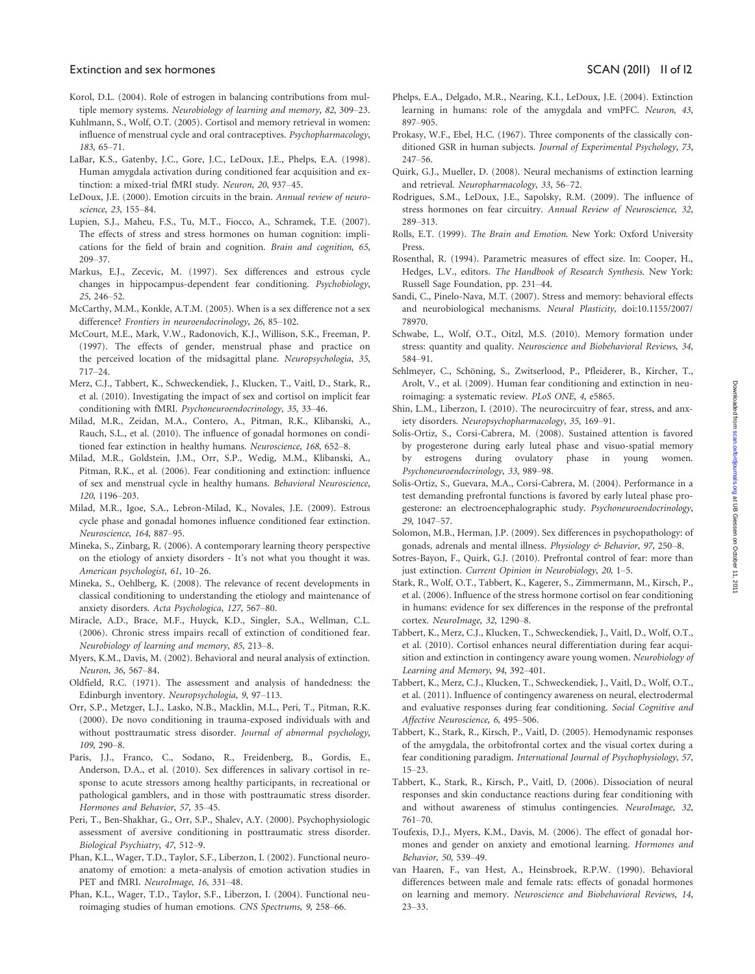#### <span id="page-10-0"></span>Extinction and sex hormones SCAN (2011) 11 of 12

- Korol, D.L. (2004). Role of estrogen in balancing contributions from multiple memory systems. Neurobiology of learning and memory, 82, 309–23.
- Kuhlmann, S., Wolf, O.T. (2005). Cortisol and memory retrieval in women: influence of menstrual cycle and oral contraceptives. Psychopharmacology, 183, 65–71.
- LaBar, K.S., Gatenby, J.C., Gore, J.C., LeDoux, J.E., Phelps, E.A. (1998). Human amygdala activation during conditioned fear acquisition and extinction: a mixed-trial fMRI study. Neuron, 20, 937–45.
- LeDoux, J.E. (2000). Emotion circuits in the brain. Annual review of neuroscience, 23, 155–84.
- Lupien, S.J., Maheu, F.S., Tu, M.T., Fiocco, A., Schramek, T.E. (2007). The effects of stress and stress hormones on human cognition: implications for the field of brain and cognition. Brain and cognition, 65, 209–37.
- Markus, E.J., Zecevic, M. (1997). Sex differences and estrous cycle changes in hippocampus-dependent fear conditioning. Psychobiology, 25, 246–52.
- McCarthy, M.M., Konkle, A.T.M. (2005). When is a sex difference not a sex difference? Frontiers in neuroendocrinology, 26, 85-102.
- McCourt, M.E., Mark, V.W., Radonovich, K.J., Willison, S.K., Freeman, P. (1997). The effects of gender, menstrual phase and practice on the perceived location of the midsagittal plane. Neuropsychologia, 35, 717–24.
- Merz, C.J., Tabbert, K., Schweckendiek, J., Klucken, T., Vaitl, D., Stark, R., et al. (2010). Investigating the impact of sex and cortisol on implicit fear conditioning with fMRI. Psychoneuroendocrinology, 35, 33–46.
- Milad, M.R., Zeidan, M.A., Contero, A., Pitman, R.K., Klibanski, A., Rauch, S.L., et al. (2010). The influence of gonadal hormones on conditioned fear extinction in healthy humans. Neuroscience, 168, 652–8.
- Milad, M.R., Goldstein, J.M., Orr, S.P., Wedig, M.M., Klibanski, A., Pitman, R.K., et al. (2006). Fear conditioning and extinction: influence of sex and menstrual cycle in healthy humans. Behavioral Neuroscience, 120, 1196–203.
- Milad, M.R., Igoe, S.A., Lebron-Milad, K., Novales, J.E. (2009). Estrous cycle phase and gonadal homones influence conditioned fear extinction. Neuroscience, 164, 887–95.
- Mineka, S., Zinbarg, R. (2006). A contemporary learning theory perspective on the etiology of anxiety disorders - It's not what you thought it was. American psychologist, 61, 10–26.
- Mineka, S., Oehlberg, K. (2008). The relevance of recent developments in classical conditioning to understanding the etiology and maintenance of anxiety disorders. Acta Psychologica, 127, 567–80.
- Miracle, A.D., Brace, M.F., Huyck, K.D., Singler, S.A., Wellman, C.L. (2006). Chronic stress impairs recall of extinction of conditioned fear. Neurobiology of learning and memory, 85, 213–8.
- Myers, K.M., Davis, M. (2002). Behavioral and neural analysis of extinction. Neuron, 36, 567–84.
- Oldfield, R.C. (1971). The assessment and analysis of handedness: the Edinburgh inventory. Neuropsychologia, 9, 97–113.
- Orr, S.P., Metzger, L.J., Lasko, N.B., Macklin, M.L., Peri, T., Pitman, R.K. (2000). De novo conditioning in trauma-exposed individuals with and without posttraumatic stress disorder. Journal of abnormal psychology, 109, 290–8.
- Paris, J.J., Franco, C., Sodano, R., Freidenberg, B., Gordis, E., Anderson, D.A., et al. (2010). Sex differences in salivary cortisol in response to acute stressors among healthy participants, in recreational or pathological gamblers, and in those with posttraumatic stress disorder. Hormones and Behavior, 57, 35–45.
- Peri, T., Ben-Shakhar, G., Orr, S.P., Shalev, A.Y. (2000). Psychophysiologic assessment of aversive conditioning in posttraumatic stress disorder. Biological Psychiatry, 47, 512–9.
- Phan, K.L., Wager, T.D., Taylor, S.F., Liberzon, I. (2002). Functional neuroanatomy of emotion: a meta-analysis of emotion activation studies in PET and fMRI. NeuroImage, 16, 331–48.
- Phan, K.L., Wager, T.D., Taylor, S.F., Liberzon, I. (2004). Functional neuroimaging studies of human emotions. CNS Spectrums, 9, 258–66.
- Phelps, E.A., Delgado, M.R., Nearing, K.I., LeDoux, J.E. (2004). Extinction learning in humans: role of the amygdala and vmPFC. Neuron, 43, 897–905.
- Prokasy, W.F., Ebel, H.C. (1967). Three components of the classically conditioned GSR in human subjects. Journal of Experimental Psychology, 73, 247–56.
- Quirk, G.J., Mueller, D. (2008). Neural mechanisms of extinction learning and retrieval. Neuropharmacology, 33, 56–72.
- Rodrigues, S.M., LeDoux, J.E., Sapolsky, R.M. (2009). The influence of stress hormones on fear circuitry. Annual Review of Neuroscience, 32, 289–313.
- Rolls, E.T. (1999). The Brain and Emotion. New York: Oxford University Press.
- Rosenthal, R. (1994). Parametric measures of effect size. In: Cooper, H., Hedges, L.V., editors. The Handbook of Research Synthesis. New York: Russell Sage Foundation, pp. 231–44.
- Sandi, C., Pinelo-Nava, M.T. (2007). Stress and memory: behavioral effects and neurobiological mechanisms. Neural Plasticity, doi:10.1155/2007/ 78970.
- Schwabe, L., Wolf, O.T., Oitzl, M.S. (2010). Memory formation under stress: quantity and quality. Neuroscience and Biobehavioral Reviews, 34, 584–91.
- Sehlmeyer, C., Schöning, S., Zwitserlood, P., Pfleiderer, B., Kircher, T., Arolt, V., et al. (2009). Human fear conditioning and extinction in neuroimaging: a systematic review. PLoS ONE, 4, e5865.
- Shin, L.M., Liberzon, I. (2010). The neurocircuitry of fear, stress, and anxiety disorders. Neuropsychopharmacology, 35, 169–91.
- Solis-Ortiz, S., Corsi-Cabrera, M. (2008). Sustained attention is favored by progesterone during early luteal phase and visuo-spatial memory by estrogens during ovulatory phase in young women. Psychoneuroendocrinology, 33, 989–98.
- Solis-Ortiz, S., Guevara, M.A., Corsi-Cabrera, M. (2004). Performance in a test demanding prefrontal functions is favored by early luteal phase progesterone: an electroencephalographic study. Psychoneuroendocrinology, 29, 1047–57.
- Solomon, M.B., Herman, J.P. (2009). Sex differences in psychopathology: of gonads, adrenals and mental illness. Physiology & Behavior, 97, 250-8.
- Sotres-Bayon, F., Quirk, G.J. (2010). Prefrontal control of fear: more than just extinction. Current Opinion in Neurobiology, 20, 1–5.
- Stark, R., Wolf, O.T., Tabbert, K., Kagerer, S., Zimmermann, M., Kirsch, P., et al. (2006). Influence of the stress hormone cortisol on fear conditioning in humans: evidence for sex differences in the response of the prefrontal cortex. NeuroImage, 32, 1290–8.
- Tabbert, K., Merz, C.J., Klucken, T., Schweckendiek, J., Vaitl, D., Wolf, O.T., et al. (2010). Cortisol enhances neural differentiation during fear acquisition and extinction in contingency aware young women. Neurobiology of Learning and Memory, 94, 392–401.
- Tabbert, K., Merz, C.J., Klucken, T., Schweckendiek, J., Vaitl, D., Wolf, O.T., et al. (2011). Influence of contingency awareness on neural, electrodermal and evaluative responses during fear conditioning. Social Cognitive and Affective Neuroscience, 6, 495–506.
- Tabbert, K., Stark, R., Kirsch, P., Vaitl, D. (2005). Hemodynamic responses of the amygdala, the orbitofrontal cortex and the visual cortex during a fear conditioning paradigm. International Journal of Psychophysiology, 57, 15–23.
- Tabbert, K., Stark, R., Kirsch, P., Vaitl, D. (2006). Dissociation of neural responses and skin conductance reactions during fear conditioning with and without awareness of stimulus contingencies. NeuroImage, 32, 761–70.
- Toufexis, D.J., Myers, K.M., Davis, M. (2006). The effect of gonadal hormones and gender on anxiety and emotional learning. Hormones and Behavior, 50, 539–49.
- van Haaren, F., van Hest, A., Heinsbroek, R.P.W. (1990). Behavioral differences between male and female rats: effects of gonadal hormones on learning and memory. Neuroscience and Biobehavioral Reviews, 14, 23–33.